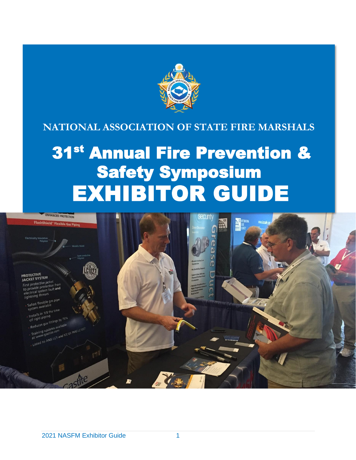

## **NATIONAL ASSOCIATION OF STATE FIRE MARSHALS**

# 31st Annual Fire Prevention & Safety Symposium EXHIBITOR GUIDE

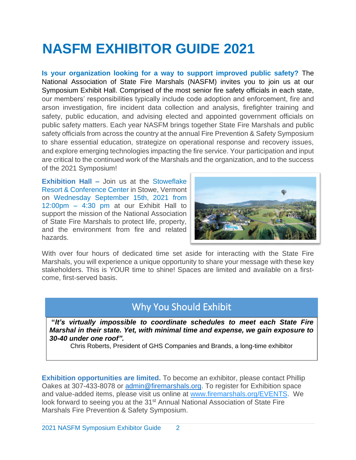## **NASFM EXHIBITOR GUIDE 2021**

**Is your organization looking for a way to support improved public safety?** The National Association of State Fire Marshals (NASFM) invites you to join us at our Symposium Exhibit Hall. Comprised of the most senior fire safety officials in each state, our members' responsibilities typically include code adoption and enforcement, fire and arson investigation, fire incident data collection and analysis, firefighter training and safety, public education, and advising elected and appointed government officials on public safety matters. Each year NASFM brings together State Fire Marshals and public safety officials from across the country at the annual Fire Prevention & Safety Symposium to share essential education, strategize on operational response and recovery issues, and explore emerging technologies impacting the fire service. Your participation and input are critical to the continued work of the Marshals and the organization, and to the success of the 2021 Symposium!

**Exhibition Hall –** Join us at the Stoweflake Resort & Conference Center in Stowe, Vermont on Wednesday September 15th, 2021 from 12:00pm – 4:30 pm at our Exhibit Hall to support the mission of the National Association of State Fire Marshals to protect life, property, and the environment from fire and related hazards.



With over four hours of dedicated time set aside for interacting with the State Fire Marshals, you will experience a unique opportunity to share your message with these key stakeholders. This is YOUR time to shine! Spaces are limited and available on a firstcome, first-served basis.

## Why You Should Exhibit

**"***It's virtually impossible to coordinate schedules to meet each State Fire Marshal in their state. Yet, with minimal time and expense, we gain exposure to 30-40 under one roof".*

Chris Roberts, President of GHS Companies and Brands, a long-time exhibitor

**Exhibition opportunities are limited.** To become an exhibitor, please contact Phillip Oakes at 307-433-8078 or [admin@firemarshals.org.](mailto:admin@firemarshals.org) To register for Exhibition space and value-added items, please visit us online at [www.firemarshals.org/EVENTS.](http://www.firemarshals.org/EVENTS) We look forward to seeing you at the 31<sup>st</sup> Annual National Association of State Fire Marshals Fire Prevention & Safety Symposium.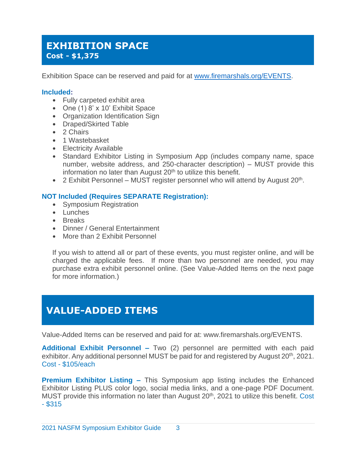### **EXHIBITION SPACE Cost - \$1,375**

Exhibition Space can be reserved and paid for at [www.firemarshals.org/EVENTS.](http://www.firemarshals.org/EVENTS)

#### **Included:**

- Fully carpeted exhibit area
- One (1) 8' x 10' Exhibit Space
- Organization Identification Sign
- Draped/Skirted Table
- 2 Chairs
- 1 Wastebasket
- Electricity Available
- Standard Exhibitor Listing in Symposium App (includes company name, space number, website address, and 250-character description) – MUST provide this information no later than August  $20<sup>th</sup>$  to utilize this benefit.
- 2 Exhibit Personnel MUST register personnel who will attend by August  $20^{th}$ .

#### **NOT Included (Requires SEPARATE Registration):**

- Symposium Registration
- Lunches
- Breaks
- Dinner / General Entertainment
- More than 2 Exhibit Personnel

If you wish to attend all or part of these events, you must register online, and will be charged the applicable fees. If more than two personnel are needed, you may purchase extra exhibit personnel online. (See Value-Added Items on the next page for more information.)

## **VALUE-ADDED ITEMS**

Value-Added Items can be reserved and paid for at: www.firemarshals.org/EVENTS.

**Additional Exhibit Personnel –** Two (2) personnel are permitted with each paid exhibitor. Any additional personnel MUST be paid for and registered by August 20<sup>th</sup>, 2021. Cost - \$105/each

**Premium Exhibitor Listing –** This Symposium app listing includes the Enhanced Exhibitor Listing PLUS color logo, social media links, and a one-page PDF Document. MUST provide this information no later than August 20<sup>th</sup>, 2021 to utilize this benefit. Cost - \$315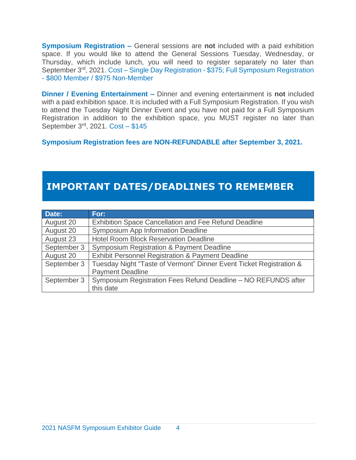**Symposium Registration –** General sessions are **not** included with a paid exhibition space. If you would like to attend the General Sessions Tuesday, Wednesday, or Thursday, which include lunch, you will need to register separately no later than September 3<sup>rd</sup>, 2021. Cost – Single Day Registration - \$375; Full Symposium Registration - \$800 Member / \$975 Non-Member

**Dinner / Evening Entertainment –** Dinner and evening entertainment is **not** included with a paid exhibition space. It is included with a Full Symposium Registration. If you wish to attend the Tuesday Night Dinner Event and you have not paid for a Full Symposium Registration in addition to the exhibition space, you MUST register no later than September 3<sup>rd</sup>, 2021. Cost - \$145

**Symposium Registration fees are NON-REFUNDABLE after September 3, 2021.**

## **IMPORTANT DATES/DEADLINES TO REMEMBER**

| Date:       | For:                                                                |
|-------------|---------------------------------------------------------------------|
| August 20   | <b>Exhibition Space Cancellation and Fee Refund Deadline</b>        |
| August 20   | <b>Symposium App Information Deadline</b>                           |
| August 23   | <b>Hotel Room Block Reservation Deadline</b>                        |
| September 3 | <b>Symposium Registration &amp; Payment Deadline</b>                |
| August 20   | <b>Exhibit Personnel Registration &amp; Payment Deadline</b>        |
| September 3 | Tuesday Night "Taste of Vermont" Dinner Event Ticket Registration & |
|             | <b>Payment Deadline</b>                                             |
| September 3 | Symposium Registration Fees Refund Deadline - NO REFUNDS after      |
|             | this date                                                           |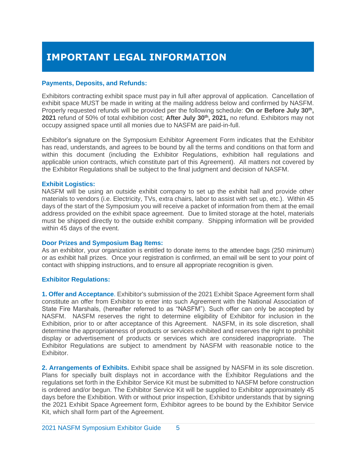## **IMPORTANT LEGAL INFORMATION**

#### **Payments, Deposits, and Refunds:**

Exhibitors contracting exhibit space must pay in full after approval of application. Cancellation of exhibit space MUST be made in writing at the mailing address below and confirmed by NASFM. Properly requested refunds will be provided per the following schedule: **On or Before July 30th , 2021** refund of 50% of total exhibition cost; **After July 30th , 2021,** no refund. Exhibitors may not occupy assigned space until all monies due to NASFM are paid-in-full.

Exhibitor's signature on the Symposium Exhibitor Agreement Form indicates that the Exhibitor has read, understands, and agrees to be bound by all the terms and conditions on that form and within this document (including the Exhibitor Regulations, exhibition hall regulations and applicable union contracts, which constitute part of this Agreement). All matters not covered by the Exhibitor Regulations shall be subject to the final judgment and decision of NASFM.

#### **Exhibit Logistics:**

NASFM will be using an outside exhibit company to set up the exhibit hall and provide other materials to vendors (i.e. Electricity, TVs, extra chairs, labor to assist with set up, etc.). Within 45 days of the start of the Symposium you will receive a packet of information from them at the email address provided on the exhibit space agreement. Due to limited storage at the hotel, materials must be shipped directly to the outside exhibit company. Shipping information will be provided within 45 days of the event.

#### **Door Prizes and Symposium Bag Items:**

As an exhibitor, your organization is entitled to donate items to the attendee bags (250 minimum) or as exhibit hall prizes. Once your registration is confirmed, an email will be sent to your point of contact with shipping instructions, and to ensure all appropriate recognition is given.

#### **Exhibitor Regulations:**

**1. Offer and Acceptance**. Exhibitor's submission of the 2021 Exhibit Space Agreement form shall constitute an offer from Exhibitor to enter into such Agreement with the National Association of State Fire Marshals, (hereafter referred to as "NASFM"). Such offer can only be accepted by NASFM. NASFM reserves the right to determine eligibility of Exhibitor for inclusion in the Exhibition, prior to or after acceptance of this Agreement. NASFM, in its sole discretion, shall determine the appropriateness of products or services exhibited and reserves the right to prohibit display or advertisement of products or services which are considered inappropriate. The Exhibitor Regulations are subject to amendment by NASFM with reasonable notice to the Exhibitor.

**2. Arrangements of Exhibits.** Exhibit space shall be assigned by NASFM in its sole discretion. Plans for specially built displays not in accordance with the Exhibitor Regulations and the regulations set forth in the Exhibitor Service Kit must be submitted to NASFM before construction is ordered and/or begun. The Exhibitor Service Kit will be supplied to Exhibitor approximately 45 days before the Exhibition. With or without prior inspection, Exhibitor understands that by signing the 2021 Exhibit Space Agreement form, Exhibitor agrees to be bound by the Exhibitor Service Kit, which shall form part of the Agreement.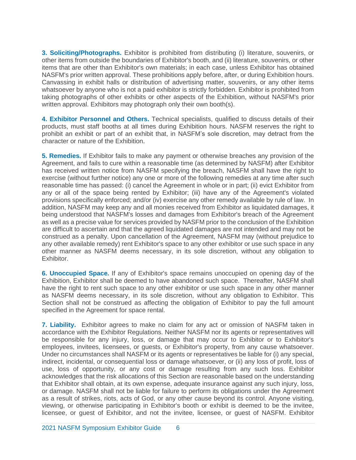**3. Soliciting/Photographs.** Exhibitor is prohibited from distributing (i) literature, souvenirs, or other items from outside the boundaries of Exhibitor's booth, and (ii) literature, souvenirs, or other items that are other than Exhibitor's own materials; in each case, unless Exhibitor has obtained NASFM's prior written approval. These prohibitions apply before, after, or during Exhibition hours. Canvassing in exhibit halls or distribution of advertising matter, souvenirs, or any other items whatsoever by anyone who is not a paid exhibitor is strictly forbidden. Exhibitor is prohibited from taking photographs of other exhibits or other aspects of the Exhibition, without NASFM's prior written approval. Exhibitors may photograph only their own booth(s).

**4. Exhibitor Personnel and Others.** Technical specialists, qualified to discuss details of their products, must staff booths at all times during Exhibition hours. NASFM reserves the right to prohibit an exhibit or part of an exhibit that, in NASFM's sole discretion, may detract from the character or nature of the Exhibition.

**5. Remedies.** If Exhibitor fails to make any payment or otherwise breaches any provision of the Agreement, and fails to cure within a reasonable time (as determined by NASFM) after Exhibitor has received written notice from NASFM specifying the breach, NASFM shall have the right to exercise (without further notice) any one or more of the following remedies at any time after such reasonable time has passed: (i) cancel the Agreement in whole or in part; (ii) evict Exhibitor from any or all of the space being rented by Exhibitor; (iii) have any of the Agreement's violated provisions specifically enforced; and/or (iv) exercise any other remedy available by rule of law. In addition, NASFM may keep any and all monies received from Exhibitor as liquidated damages, it being understood that NASFM's losses and damages from Exhibitor's breach of the Agreement as well as a precise value for services provided by NASFM prior to the conclusion of the Exhibition are difficult to ascertain and that the agreed liquidated damages are not intended and may not be construed as a penalty. Upon cancellation of the Agreement, NASFM may (without prejudice to any other available remedy) rent Exhibitor's space to any other exhibitor or use such space in any other manner as NASFM deems necessary, in its sole discretion, without any obligation to Exhibitor.

**6. Unoccupied Space.** If any of Exhibitor's space remains unoccupied on opening day of the Exhibition, Exhibitor shall be deemed to have abandoned such space. Thereafter, NASFM shall have the right to rent such space to any other exhibitor or use such space in any other manner as NASFM deems necessary, in its sole discretion, without any obligation to Exhibitor. This Section shall not be construed as affecting the obligation of Exhibitor to pay the full amount specified in the Agreement for space rental.

**7. Liability.** Exhibitor agrees to make no claim for any act or omission of NASFM taken in accordance with the Exhibitor Regulations. Neither NASFM nor its agents or representatives will be responsible for any injury, loss, or damage that may occur to Exhibitor or to Exhibitor's employees, invitees, licensees, or guests, or Exhibitor's property, from any cause whatsoever. Under no circumstances shall NASFM or its agents or representatives be liable for (i) any special, indirect, incidental, or consequential loss or damage whatsoever, or (ii) any loss of profit, loss of use, loss of opportunity, or any cost or damage resulting from any such loss. Exhibitor acknowledges that the risk allocations of this Section are reasonable based on the understanding that Exhibitor shall obtain, at its own expense, adequate insurance against any such injury, loss, or damage. NASFM shall not be liable for failure to perform its obligations under the Agreement as a result of strikes, riots, acts of God, or any other cause beyond its control. Anyone visiting, viewing, or otherwise participating in Exhibitor's booth or exhibit is deemed to be the invitee, licensee, or guest of Exhibitor, and not the invitee, licensee, or guest of NASFM. Exhibitor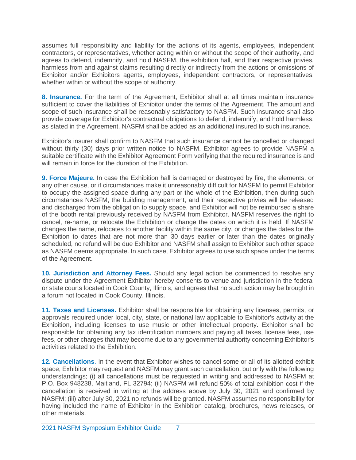assumes full responsibility and liability for the actions of its agents, employees, independent contractors, or representatives, whether acting within or without the scope of their authority, and agrees to defend, indemnify, and hold NASFM, the exhibition hall, and their respective privies, harmless from and against claims resulting directly or indirectly from the actions or omissions of Exhibitor and/or Exhibitors agents, employees, independent contractors, or representatives, whether within or without the scope of authority.

**8. Insurance.** For the term of the Agreement, Exhibitor shall at all times maintain insurance sufficient to cover the liabilities of Exhibitor under the terms of the Agreement. The amount and scope of such insurance shall be reasonably satisfactory to NASFM. Such insurance shall also provide coverage for Exhibitor's contractual obligations to defend, indemnify, and hold harmless, as stated in the Agreement. NASFM shall be added as an additional insured to such insurance.

Exhibitor's insurer shall confirm to NASFM that such insurance cannot be cancelled or changed without thirty (30) days prior written notice to NASFM. Exhibitor agrees to provide NASFM a suitable certificate with the Exhibitor Agreement Form verifying that the required insurance is and will remain in force for the duration of the Exhibition.

**9. Force Majeure.** In case the Exhibition hall is damaged or destroyed by fire, the elements, or any other cause, or if circumstances make it unreasonably difficult for NASFM to permit Exhibitor to occupy the assigned space during any part or the whole of the Exhibition, then during such circumstances NASFM, the building management, and their respective privies will be released and discharged from the obligation to supply space, and Exhibitor will not be reimbursed a share of the booth rental previously received by NASFM from Exhibitor. NASFM reserves the right to cancel, re-name, or relocate the Exhibition or change the dates on which it is held. If NASFM changes the name, relocates to another facility within the same city, or changes the dates for the Exhibition to dates that are not more than 30 days earlier or later than the dates originally scheduled, no refund will be due Exhibitor and NASFM shall assign to Exhibitor such other space as NASFM deems appropriate. In such case, Exhibitor agrees to use such space under the terms of the Agreement.

**10. Jurisdiction and Attorney Fees.** Should any legal action be commenced to resolve any dispute under the Agreement Exhibitor hereby consents to venue and jurisdiction in the federal or state courts located in Cook County, Illinois, and agrees that no such action may be brought in a forum not located in Cook County, Illinois.

**11. Taxes and Licenses.** Exhibitor shall be responsible for obtaining any licenses, permits, or approvals required under local, city, state, or national law applicable to Exhibitor's activity at the Exhibition, including licenses to use music or other intellectual property. Exhibitor shall be responsible for obtaining any tax identification numbers and paying all taxes, license fees, use fees, or other charges that may become due to any governmental authority concerning Exhibitor's activities related to the Exhibition.

**12. Cancellations**. In the event that Exhibitor wishes to cancel some or all of its allotted exhibit space, Exhibitor may request and NASFM may grant such cancellation, but only with the following understandings; (i) all cancellations must be requested in writing and addressed to NASFM at P.O. Box 948238, Maitland, FL 32794; (ii) NASFM will refund 50% of total exhibition cost if the cancellation is received in writing at the address above by July 30, 2021 and confirmed by NASFM; (iii) after July 30, 2021 no refunds will be granted. NASFM assumes no responsibility for having included the name of Exhibitor in the Exhibition catalog, brochures, news releases, or other materials.